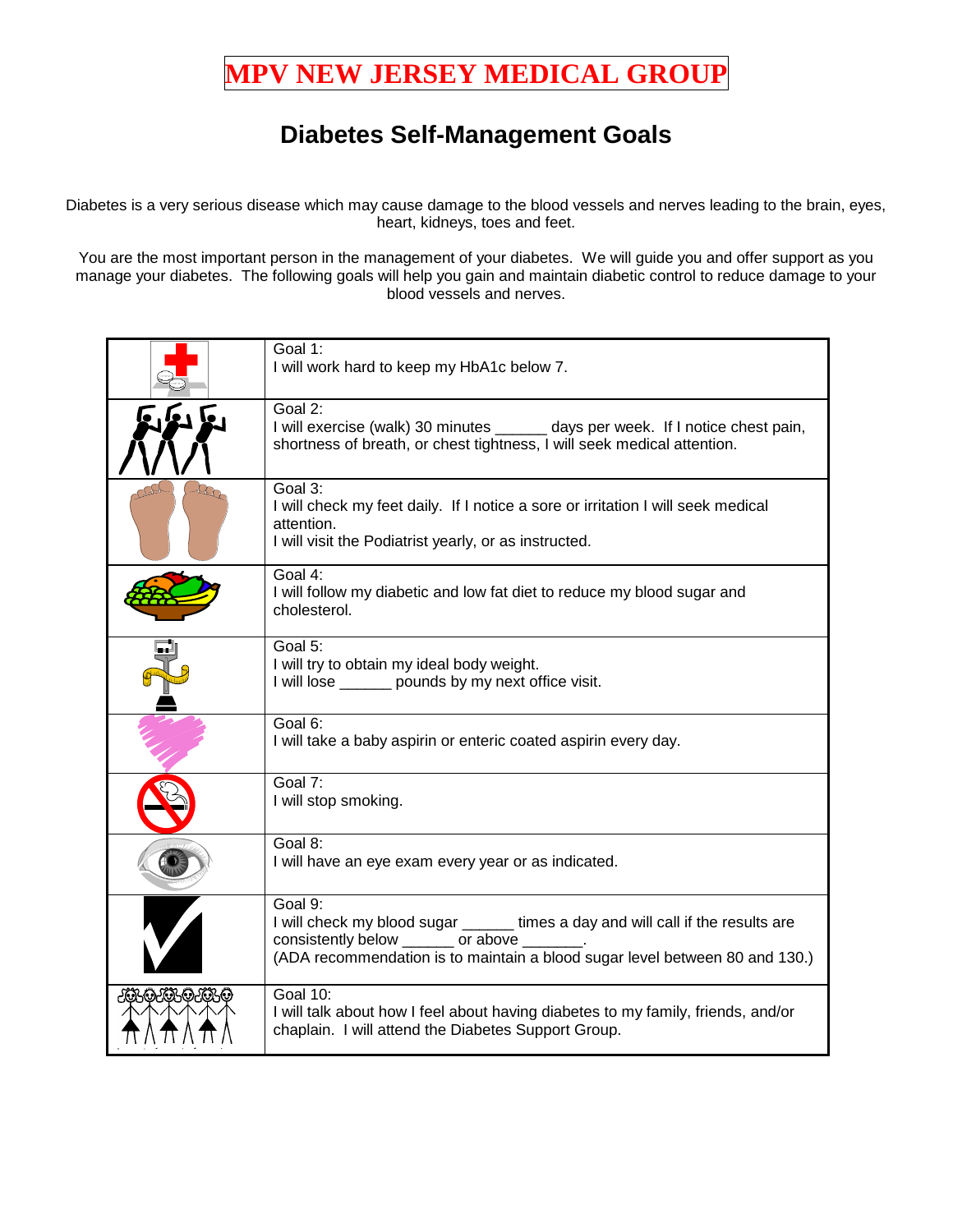## **MPV NEW JERSEY MEDICAL GROUP**

## **Diabetes Self-Management Goals**

Diabetes is a very serious disease which may cause damage to the blood vessels and nerves leading to the brain, eyes, heart, kidneys, toes and feet.

You are the most important person in the management of your diabetes. We will guide you and offer support as you manage your diabetes. The following goals will help you gain and maintain diabetic control to reduce damage to your blood vessels and nerves.

|             | Goal 1:<br>I will work hard to keep my HbA1c below 7.                                                                                                                                                           |
|-------------|-----------------------------------------------------------------------------------------------------------------------------------------------------------------------------------------------------------------|
|             | Goal 2:<br>I will exercise (walk) 30 minutes _______ days per week. If I notice chest pain,<br>shortness of breath, or chest tightness, I will seek medical attention.                                          |
|             | Goal 3:<br>I will check my feet daily. If I notice a sore or irritation I will seek medical<br>attention.<br>I will visit the Podiatrist yearly, or as instructed.                                              |
|             | Goal 4:<br>I will follow my diabetic and low fat diet to reduce my blood sugar and<br>cholesterol.                                                                                                              |
|             | Goal 5:<br>I will try to obtain my ideal body weight.<br>I will lose ______ pounds by my next office visit.                                                                                                     |
|             | Goal 6:<br>I will take a baby aspirin or enteric coated aspirin every day.                                                                                                                                      |
|             | Goal 7:<br>I will stop smoking.                                                                                                                                                                                 |
|             | Goal 8:<br>I will have an eye exam every year or as indicated.                                                                                                                                                  |
|             | Goal 9:<br>I will check my blood sugar ______ times a day and will call if the results are<br>consistently below ______ or above<br>(ADA recommendation is to maintain a blood sugar level between 80 and 130.) |
| JEKOJEKOJEK | <b>Goal 10:</b><br>I will talk about how I feel about having diabetes to my family, friends, and/or<br>chaplain. I will attend the Diabetes Support Group.                                                      |